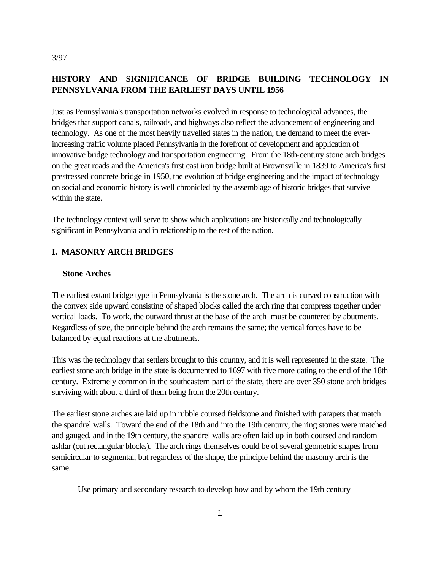#### 3/97

# **HISTORY AND SIGNIFICANCE OF BRIDGE BUILDING TECHNOLOGY IN PENNSYLVANIA FROM THE EARLIEST DAYS UNTIL 1956**

Just as Pennsylvania's transportation networks evolved in response to technological advances, the bridges that support canals, railroads, and highways also reflect the advancement of engineering and technology. As one of the most heavily travelled states in the nation, the demand to meet the everincreasing traffic volume placed Pennsylvania in the forefront of development and application of innovative bridge technology and transportation engineering. From the 18th-century stone arch bridges on the great roads and the America's first cast iron bridge built at Brownsville in 1839 to America's first prestressed concrete bridge in 1950, the evolution of bridge engineering and the impact of technology on social and economic history is well chronicled by the assemblage of historic bridges that survive within the state.

The technology context will serve to show which applications are historically and technologically significant in Pennsylvania and in relationship to the rest of the nation.

## **I. MASONRY ARCH BRIDGES**

#### **Stone Arches**

The earliest extant bridge type in Pennsylvania is the stone arch. The arch is curved construction with the convex side upward consisting of shaped blocks called the arch ring that compress together under vertical loads. To work, the outward thrust at the base of the arch must be countered by abutments. Regardless of size, the principle behind the arch remains the same; the vertical forces have to be balanced by equal reactions at the abutments.

This was the technology that settlers brought to this country, and it is well represented in the state. The earliest stone arch bridge in the state is documented to 1697 with five more dating to the end of the 18th century. Extremely common in the southeastern part of the state, there are over 350 stone arch bridges surviving with about a third of them being from the 20th century.

The earliest stone arches are laid up in rubble coursed fieldstone and finished with parapets that match the spandrel walls. Toward the end of the 18th and into the 19th century, the ring stones were matched and gauged, and in the 19th century, the spandrel walls are often laid up in both coursed and random ashlar (cut rectangular blocks). The arch rings themselves could be of several geometric shapes from semicircular to segmental, but regardless of the shape, the principle behind the masonry arch is the same.

Use primary and secondary research to develop how and by whom the 19th century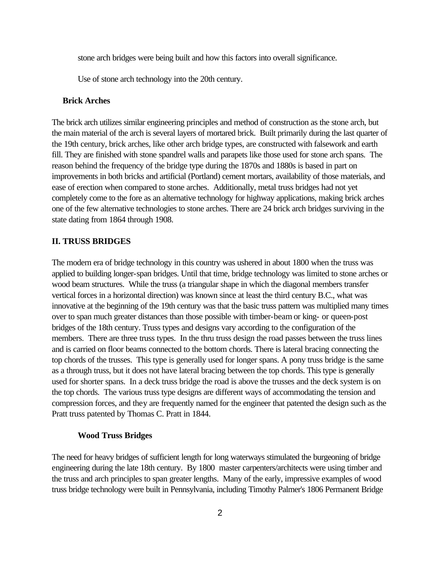stone arch bridges were being built and how this factors into overall significance.

Use of stone arch technology into the 20th century.

### **Brick Arches**

The brick arch utilizes similar engineering principles and method of construction as the stone arch, but the main material of the arch is several layers of mortared brick. Built primarily during the last quarter of the 19th century, brick arches, like other arch bridge types, are constructed with falsework and earth fill. They are finished with stone spandrel walls and parapets like those used for stone arch spans. The reason behind the frequency of the bridge type during the 1870s and 1880s is based in part on improvements in both bricks and artificial (Portland) cement mortars, availability of those materials, and ease of erection when compared to stone arches. Additionally, metal truss bridges had not yet completely come to the fore as an alternative technology for highway applications, making brick arches one of the few alternative technologies to stone arches. There are 24 brick arch bridges surviving in the state dating from 1864 through 1908.

#### **II. TRUSS BRIDGES**

The modern era of bridge technology in this country was ushered in about 1800 when the truss was applied to building longer-span bridges. Until that time, bridge technology was limited to stone arches or wood beam structures. While the truss (a triangular shape in which the diagonal members transfer vertical forces in a horizontal direction) was known since at least the third century B.C., what was innovative at the beginning of the 19th century was that the basic truss pattern was multiplied many times over to span much greater distances than those possible with timber-beam or king- or queen-post bridges of the 18th century. Truss types and designs vary according to the configuration of the members. There are three truss types. In the thru truss design the road passes between the truss lines and is carried on floor beams connected to the bottom chords. There is lateral bracing connecting the top chords of the trusses. This type is generally used for longer spans. A pony truss bridge is the same as a through truss, but it does not have lateral bracing between the top chords. This type is generally used for shorter spans. In a deck truss bridge the road is above the trusses and the deck system is on the top chords. The various truss type designs are different ways of accommodating the tension and compression forces, and they are frequently named for the engineer that patented the design such as the Pratt truss patented by Thomas C. Pratt in 1844.

#### **Wood Truss Bridges**

The need for heavy bridges of sufficient length for long waterways stimulated the burgeoning of bridge engineering during the late 18th century. By 1800 master carpenters/architects were using timber and the truss and arch principles to span greater lengths. Many of the early, impressive examples of wood truss bridge technology were built in Pennsylvania, including Timothy Palmer's 1806 Permanent Bridge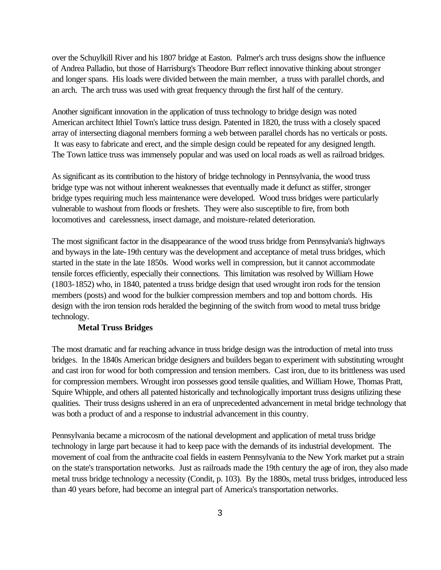over the Schuylkill River and his 1807 bridge at Easton. Palmer's arch truss designs show the influence of Andrea Palladio, but those of Harrisburg's Theodore Burr reflect innovative thinking about stronger and longer spans. His loads were divided between the main member, a truss with parallel chords, and an arch. The arch truss was used with great frequency through the first half of the century.

Another significant innovation in the application of truss technology to bridge design was noted American architect Ithiel Town's lattice truss design. Patented in 1820, the truss with a closely spaced array of intersecting diagonal members forming a web between parallel chords has no verticals or posts. It was easy to fabricate and erect, and the simple design could be repeated for any designed length. The Town lattice truss was immensely popular and was used on local roads as well as railroad bridges.

As significant as its contribution to the history of bridge technology in Pennsylvania, the wood truss bridge type was not without inherent weaknesses that eventually made it defunct as stiffer, stronger bridge types requiring much less maintenance were developed. Wood truss bridges were particularly vulnerable to washout from floods or freshets. They were also susceptible to fire, from both locomotives and carelessness, insect damage, and moisture-related deterioration.

The most significant factor in the disappearance of the wood truss bridge from Pennsylvania's highways and byways in the late-19th century was the development and acceptance of metal truss bridges, which started in the state in the late 1850s. Wood works well in compression, but it cannot accommodate tensile forces efficiently, especially their connections. This limitation was resolved by William Howe (1803-1852) who, in 1840, patented a truss bridge design that used wrought iron rods for the tension members (posts) and wood for the bulkier compression members and top and bottom chords. His design with the iron tension rods heralded the beginning of the switch from wood to metal truss bridge technology.

#### **Metal Truss Bridges**

The most dramatic and far reaching advance in truss bridge design was the introduction of metal into truss bridges. In the 1840s American bridge designers and builders began to experiment with substituting wrought and cast iron for wood for both compression and tension members. Cast iron, due to its brittleness was used for compression members. Wrought iron possesses good tensile qualities, and William Howe, Thomas Pratt, Squire Whipple, and others all patented historically and technologically important truss designs utilizing these qualities. Their truss designs ushered in an era of unprecedented advancement in metal bridge technology that was both a product of and a response to industrial advancement in this country.

Pennsylvania became a microcosm of the national development and application of metal truss bridge technology in large part because it had to keep pace with the demands of its industrial development. The movement of coal from the anthracite coal fields in eastern Pennsylvania to the New York market put a strain on the state's transportation networks. Just as railroads made the 19th century the age of iron, they also made metal truss bridge technology a necessity (Condit, p. 103). By the 1880s, metal truss bridges, introduced less than 40 years before, had become an integral part of America's transportation networks.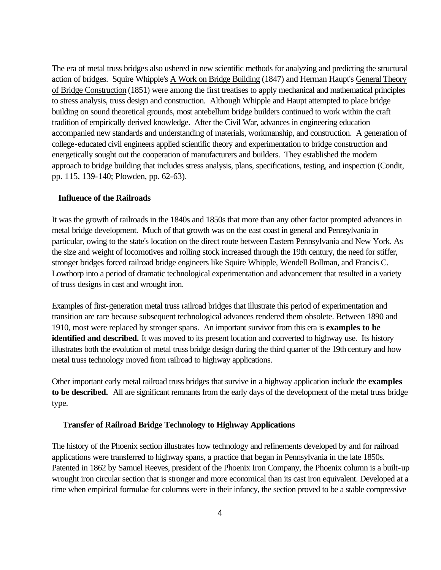The era of metal truss bridges also ushered in new scientific methods for analyzing and predicting the structural action of bridges. Squire Whipple's A Work on Bridge Building (1847) and Herman Haupt's General Theory of Bridge Construction (1851) were among the first treatises to apply mechanical and mathematical principles to stress analysis, truss design and construction. Although Whipple and Haupt attempted to place bridge building on sound theoretical grounds, most antebellum bridge builders continued to work within the craft tradition of empirically derived knowledge. After the Civil War, advances in engineering education accompanied new standards and understanding of materials, workmanship, and construction. A generation of college-educated civil engineers applied scientific theory and experimentation to bridge construction and energetically sought out the cooperation of manufacturers and builders. They established the modern approach to bridge building that includes stress analysis, plans, specifications, testing, and inspection (Condit, pp. 115, 139-140; Plowden, pp. 62-63).

#### **Influence of the Railroads**

It was the growth of railroads in the 1840s and 1850s that more than any other factor prompted advances in metal bridge development. Much of that growth was on the east coast in general and Pennsylvania in particular, owing to the state's location on the direct route between Eastern Pennsylvania and New York. As the size and weight of locomotives and rolling stock increased through the 19th century, the need for stiffer, stronger bridges forced railroad bridge engineers like Squire Whipple, Wendell Bollman, and Francis C. Lowthorp into a period of dramatic technological experimentation and advancement that resulted in a variety of truss designs in cast and wrought iron.

Examples of first-generation metal truss railroad bridges that illustrate this period of experimentation and transition are rare because subsequent technological advances rendered them obsolete. Between 1890 and 1910, most were replaced by stronger spans. An important survivor from this era is **examples to be identified and described.** It was moved to its present location and converted to highway use. Its history illustrates both the evolution of metal truss bridge design during the third quarter of the 19th century and how metal truss technology moved from railroad to highway applications.

Other important early metal railroad truss bridges that survive in a highway application include the **examples to be described.** All are significant remnants from the early days of the development of the metal truss bridge type.

#### **Transfer of Railroad Bridge Technology to Highway Applications**

The history of the Phoenix section illustrates how technology and refinements developed by and for railroad applications were transferred to highway spans, a practice that began in Pennsylvania in the late 1850s. Patented in 1862 by Samuel Reeves, president of the Phoenix Iron Company, the Phoenix column is a built-up wrought iron circular section that is stronger and more economical than its cast iron equivalent. Developed at a time when empirical formulae for columns were in their infancy, the section proved to be a stable compressive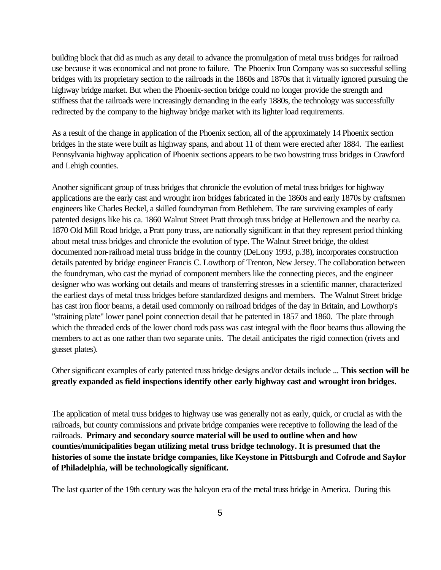building block that did as much as any detail to advance the promulgation of metal truss bridges for railroad use because it was economical and not prone to failure. The Phoenix Iron Company was so successful selling bridges with its proprietary section to the railroads in the 1860s and 1870s that it virtually ignored pursuing the highway bridge market. But when the Phoenix-section bridge could no longer provide the strength and stiffness that the railroads were increasingly demanding in the early 1880s, the technology was successfully redirected by the company to the highway bridge market with its lighter load requirements.

As a result of the change in application of the Phoenix section, all of the approximately 14 Phoenix section bridges in the state were built as highway spans, and about 11 of them were erected after 1884. The earliest Pennsylvania highway application of Phoenix sections appears to be two bowstring truss bridges in Crawford and Lehigh counties.

Another significant group of truss bridges that chronicle the evolution of metal truss bridges for highway applications are the early cast and wrought iron bridges fabricated in the 1860s and early 1870s by craftsmen engineers like Charles Beckel, a skilled foundryman from Bethlehem. The rare surviving examples of early patented designs like his ca. 1860 Walnut Street Pratt through truss bridge at Hellertown and the nearby ca. 1870 Old Mill Road bridge, a Pratt pony truss, are nationally significant in that they represent period thinking about metal truss bridges and chronicle the evolution of type. The Walnut Street bridge, the oldest documented non-railroad metal truss bridge in the country (DeLony 1993, p.38), incorporates construction details patented by bridge engineer Francis C. Lowthorp of Trenton, New Jersey. The collaboration between the foundryman, who cast the myriad of component members like the connecting pieces, and the engineer designer who was working out details and means of transferring stresses in a scientific manner, characterized the earliest days of metal truss bridges before standardized designs and members. The Walnut Street bridge has cast iron floor beams, a detail used commonly on railroad bridges of the day in Britain, and Lowthorp's "straining plate" lower panel point connection detail that he patented in 1857 and 1860. The plate through which the threaded ends of the lower chord rods pass was cast integral with the floor beams thus allowing the members to act as one rather than two separate units. The detail anticipates the rigid connection (rivets and gusset plates).

Other significant examples of early patented truss bridge designs and/or details include ... **This section will be greatly expanded as field inspections identify other early highway cast and wrought iron bridges.**

The application of metal truss bridges to highway use was generally not as early, quick, or crucial as with the railroads, but county commissions and private bridge companies were receptive to following the lead of the railroads. **Primary and secondary source material will be used to outline when and how counties/municipalities began utilizing metal truss bridge technology. It is presumed that the histories of some the instate bridge companies, like Keystone in Pittsburgh and Cofrode and Saylor of Philadelphia, will be technologically significant.**

The last quarter of the 19th century was the halcyon era of the metal truss bridge in America. During this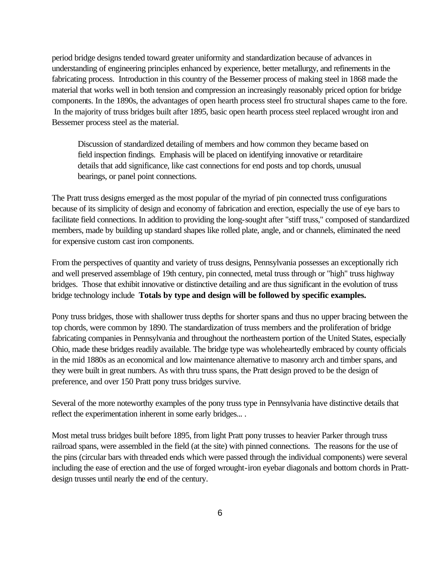period bridge designs tended toward greater uniformity and standardization because of advances in understanding of engineering principles enhanced by experience, better metallurgy, and refinements in the fabricating process. Introduction in this country of the Bessemer process of making steel in 1868 made the material that works well in both tension and compression an increasingly reasonably priced option for bridge components. In the 1890s, the advantages of open hearth process steel fro structural shapes came to the fore. In the majority of truss bridges built after 1895, basic open hearth process steel replaced wrought iron and Bessemer process steel as the material.

Discussion of standardized detailing of members and how common they became based on field inspection findings. Emphasis will be placed on identifying innovative or retarditaire details that add significance, like cast connections for end posts and top chords, unusual bearings, or panel point connections.

The Pratt truss designs emerged as the most popular of the myriad of pin connected truss configurations because of its simplicity of design and economy of fabrication and erection, especially the use of eye bars to facilitate field connections. In addition to providing the long-sought after "stiff truss," composed of standardized members, made by building up standard shapes like rolled plate, angle, and or channels, eliminated the need for expensive custom cast iron components.

From the perspectives of quantity and variety of truss designs, Pennsylvania possesses an exceptionally rich and well preserved assemblage of 19th century, pin connected, metal truss through or "high" truss highway bridges. Those that exhibit innovative or distinctive detailing and are thus significant in the evolution of truss bridge technology include **Totals by type and design will be followed by specific examples.**

Pony truss bridges, those with shallower truss depths for shorter spans and thus no upper bracing between the top chords, were common by 1890. The standardization of truss members and the proliferation of bridge fabricating companies in Pennsylvania and throughout the northeastern portion of the United States, especially Ohio, made these bridges readily available. The bridge type was wholeheartedly embraced by county officials in the mid 1880s as an economical and low maintenance alternative to masonry arch and timber spans, and they were built in great numbers. As with thru truss spans, the Pratt design proved to be the design of preference, and over 150 Pratt pony truss bridges survive.

Several of the more noteworthy examples of the pony truss type in Pennsylvania have distinctive details that reflect the experimentation inherent in some early bridges... .

Most metal truss bridges built before 1895, from light Pratt pony trusses to heavier Parker through truss railroad spans, were assembled in the field (at the site) with pinned connections. The reasons for the use of the pins (circular bars with threaded ends which were passed through the individual components) were several including the ease of erection and the use of forged wrought-iron eyebar diagonals and bottom chords in Prattdesign trusses until nearly the end of the century.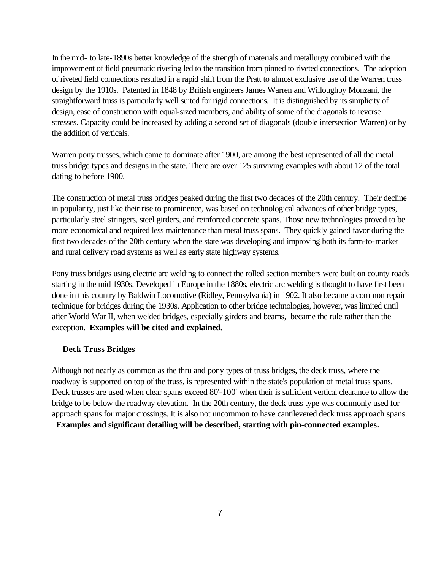In the mid- to late-1890s better knowledge of the strength of materials and metallurgy combined with the improvement of field pneumatic riveting led to the transition from pinned to riveted connections. The adoption of riveted field connections resulted in a rapid shift from the Pratt to almost exclusive use of the Warren truss design by the 1910s. Patented in 1848 by British engineers James Warren and Willoughby Monzani, the straightforward truss is particularly well suited for rigid connections. It is distinguished by its simplicity of design, ease of construction with equal-sized members, and ability of some of the diagonals to reverse stresses. Capacity could be increased by adding a second set of diagonals (double intersection Warren) or by the addition of verticals.

Warren pony trusses, which came to dominate after 1900, are among the best represented of all the metal truss bridge types and designs in the state. There are over 125 surviving examples with about 12 of the total dating to before 1900.

The construction of metal truss bridges peaked during the first two decades of the 20th century. Their decline in popularity, just like their rise to prominence, was based on technological advances of other bridge types, particularly steel stringers, steel girders, and reinforced concrete spans. Those new technologies proved to be more economical and required less maintenance than metal truss spans. They quickly gained favor during the first two decades of the 20th century when the state was developing and improving both its farm-to-market and rural delivery road systems as well as early state highway systems.

Pony truss bridges using electric arc welding to connect the rolled section members were built on county roads starting in the mid 1930s. Developed in Europe in the 1880s, electric arc welding is thought to have first been done in this country by Baldwin Locomotive (Ridley, Pennsylvania) in 1902. It also became a common repair technique for bridges during the 1930s. Application to other bridge technologies, however, was limited until after World War II, when welded bridges, especially girders and beams, became the rule rather than the exception. **Examples will be cited and explained.**

### **Deck Truss Bridges**

Although not nearly as common as the thru and pony types of truss bridges, the deck truss, where the roadway is supported on top of the truss, is represented within the state's population of metal truss spans. Deck trusses are used when clear spans exceed 80'-100' when their is sufficient vertical clearance to allow the bridge to be below the roadway elevation. In the 20th century, the deck truss type was commonly used for approach spans for major crossings. It is also not uncommon to have cantilevered deck truss approach spans. **Examples and significant detailing will be described, starting with pin-connected examples.**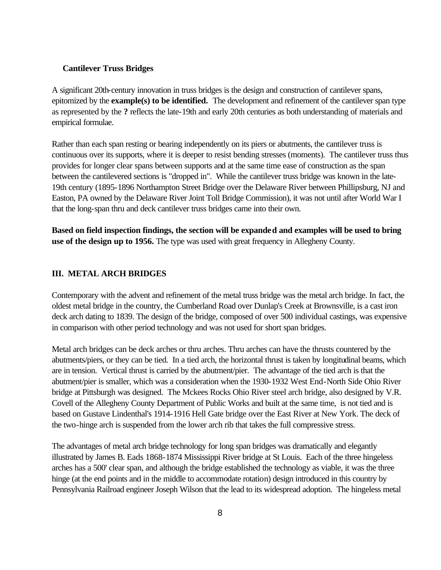### **Cantilever Truss Bridges**

A significant 20th-century innovation in truss bridges is the design and construction of cantilever spans, epitomized by the **example(s) to be identified.** The development and refinement of the cantilever span type as represented by the **?** reflects the late-19th and early 20th centuries as both understanding of materials and empirical formulae.

Rather than each span resting or bearing independently on its piers or abutments, the cantilever truss is continuous over its supports, where it is deeper to resist bending stresses (moments). The cantilever truss thus provides for longer clear spans between supports and at the same time ease of construction as the span between the cantilevered sections is "dropped in". While the cantilever truss bridge was known in the late-19th century (1895-1896 Northampton Street Bridge over the Delaware River between Phillipsburg, NJ and Easton, PA owned by the Delaware River Joint Toll Bridge Commission), it was not until after World War I that the long-span thru and deck cantilever truss bridges came into their own.

**Based on field inspection findings, the section will be expanded and examples will be used to bring use of the design up to 1956.** The type was used with great frequency in Allegheny County.

### **III. METAL ARCH BRIDGES**

Contemporary with the advent and refinement of the metal truss bridge was the metal arch bridge. In fact, the oldest metal bridge in the country, the Cumberland Road over Dunlap's Creek at Brownsville, is a cast iron deck arch dating to 1839. The design of the bridge, composed of over 500 individual castings, was expensive in comparison with other period technology and was not used for short span bridges.

Metal arch bridges can be deck arches or thru arches. Thru arches can have the thrusts countered by the abutments/piers, or they can be tied. In a tied arch, the horizontal thrust is taken by longitudinal beams, which are in tension. Vertical thrust is carried by the abutment/pier. The advantage of the tied arch is that the abutment/pier is smaller, which was a consideration when the 1930-1932 West End-North Side Ohio River bridge at Pittsburgh was designed. The Mckees Rocks Ohio River steel arch bridge, also designed by V.R. Covell of the Allegheny County Department of Public Works and built at the same time, is not tied and is based on Gustave Lindenthal's 1914-1916 Hell Gate bridge over the East River at New York. The deck of the two-hinge arch is suspended from the lower arch rib that takes the full compressive stress.

The advantages of metal arch bridge technology for long span bridges was dramatically and elegantly illustrated by James B. Eads 1868-1874 Mississippi River bridge at St Louis. Each of the three hingeless arches has a 500' clear span, and although the bridge established the technology as viable, it was the three hinge (at the end points and in the middle to accommodate rotation) design introduced in this country by Pennsylvania Railroad engineer Joseph Wilson that the lead to its widespread adoption. The hingeless metal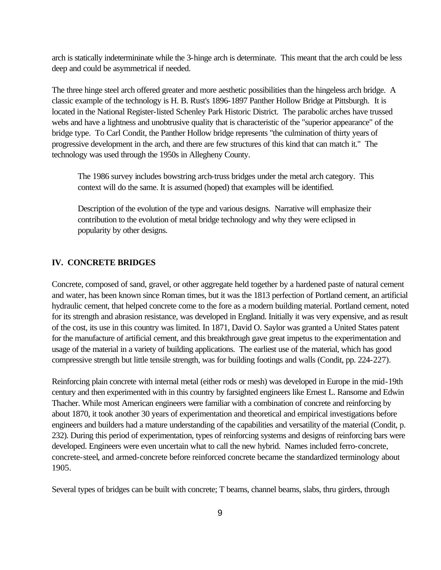arch is statically indetermininate while the 3-hinge arch is determinate. This meant that the arch could be less deep and could be asymmetrical if needed.

The three hinge steel arch offered greater and more aesthetic possibilities than the hingeless arch bridge. A classic example of the technology is H. B. Rust's 1896-1897 Panther Hollow Bridge at Pittsburgh. It is located in the National Register-listed Schenley Park Historic District. The parabolic arches have trussed webs and have a lightness and unobtrusive quality that is characteristic of the "superior appearance" of the bridge type. To Carl Condit, the Panther Hollow bridge represents "the culmination of thirty years of progressive development in the arch, and there are few structures of this kind that can match it." The technology was used through the 1950s in Allegheny County.

The 1986 survey includes bowstring arch-truss bridges under the metal arch category. This context will do the same. It is assumed (hoped) that examples will be identified.

Description of the evolution of the type and various designs. Narrative will emphasize their contribution to the evolution of metal bridge technology and why they were eclipsed in popularity by other designs.

#### **IV. CONCRETE BRIDGES**

Concrete, composed of sand, gravel, or other aggregate held together by a hardened paste of natural cement and water, has been known since Roman times, but it was the 1813 perfection of Portland cement, an artificial hydraulic cement, that helped concrete come to the fore as a modern building material. Portland cement, noted for its strength and abrasion resistance, was developed in England. Initially it was very expensive, and as result of the cost, its use in this country was limited. In 1871, David O. Saylor was granted a United States patent for the manufacture of artificial cement, and this breakthrough gave great impetus to the experimentation and usage of the material in a variety of building applications. The earliest use of the material, which has good compressive strength but little tensile strength, was for building footings and walls (Condit, pp. 224-227).

Reinforcing plain concrete with internal metal (either rods or mesh) was developed in Europe in the mid-19th century and then experimented with in this country by farsighted engineers like Ernest L. Ransome and Edwin Thacher. While most American engineers were familiar with a combination of concrete and reinforcing by about 1870, it took another 30 years of experimentation and theoretical and empirical investigations before engineers and builders had a mature understanding of the capabilities and versatility of the material (Condit, p. 232). During this period of experimentation, types of reinforcing systems and designs of reinforcing bars were developed. Engineers were even uncertain what to call the new hybrid. Names included ferro-concrete, concrete-steel, and armed-concrete before reinforced concrete became the standardized terminology about 1905.

Several types of bridges can be built with concrete; T beams, channel beams, slabs, thru girders, through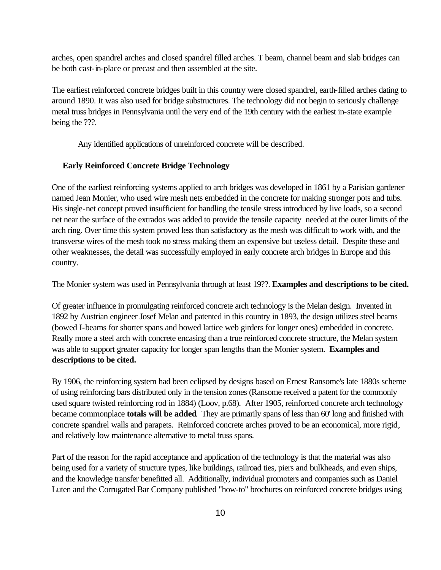arches, open spandrel arches and closed spandrel filled arches. T beam, channel beam and slab bridges can be both cast-in-place or precast and then assembled at the site.

The earliest reinforced concrete bridges built in this country were closed spandrel, earth-filled arches dating to around 1890. It was also used for bridge substructures. The technology did not begin to seriously challenge metal truss bridges in Pennsylvania until the very end of the 19th century with the earliest in-state example being the ???.

Any identified applications of unreinforced concrete will be described.

#### **Early Reinforced Concrete Bridge Technology**

One of the earliest reinforcing systems applied to arch bridges was developed in 1861 by a Parisian gardener named Jean Monier, who used wire mesh nets embedded in the concrete for making stronger pots and tubs. His single-net concept proved insufficient for handling the tensile stress introduced by live loads, so a second net near the surface of the extrados was added to provide the tensile capacity needed at the outer limits of the arch ring. Over time this system proved less than satisfactory as the mesh was difficult to work with, and the transverse wires of the mesh took no stress making them an expensive but useless detail. Despite these and other weaknesses, the detail was successfully employed in early concrete arch bridges in Europe and this country.

The Monier system was used in Pennsylvania through at least 19??. **Examples and descriptions to be cited.**

Of greater influence in promulgating reinforced concrete arch technology is the Melan design. Invented in 1892 by Austrian engineer Josef Melan and patented in this country in 1893, the design utilizes steel beams (bowed I-beams for shorter spans and bowed lattice web girders for longer ones) embedded in concrete. Really more a steel arch with concrete encasing than a true reinforced concrete structure, the Melan system was able to support greater capacity for longer span lengths than the Monier system. **Examples and descriptions to be cited.**

By 1906, the reinforcing system had been eclipsed by designs based on Ernest Ransome's late 1880s scheme of using reinforcing bars distributed only in the tension zones (Ransome received a patent for the commonly used square twisted reinforcing rod in 1884) (Loov, p.68). After 1905, reinforced concrete arch technology became commonplace **totals will be added**. They are primarily spans of less than 60' long and finished with concrete spandrel walls and parapets. Reinforced concrete arches proved to be an economical, more rigid, and relatively low maintenance alternative to metal truss spans.

Part of the reason for the rapid acceptance and application of the technology is that the material was also being used for a variety of structure types, like buildings, railroad ties, piers and bulkheads, and even ships, and the knowledge transfer benefitted all. Additionally, individual promoters and companies such as Daniel Luten and the Corrugated Bar Company published "how-to" brochures on reinforced concrete bridges using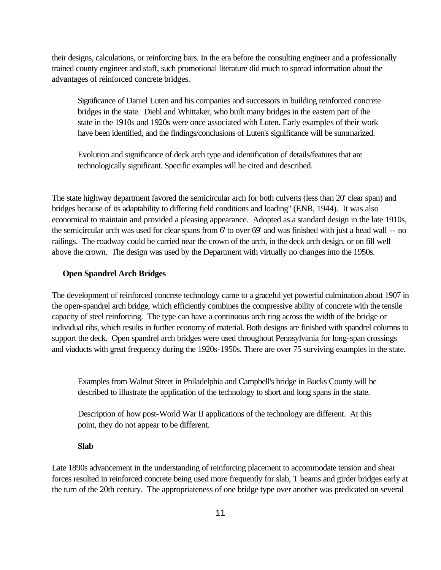their designs, calculations, or reinforcing bars. In the era before the consulting engineer and a professionally trained county engineer and staff, such promotional literature did much to spread information about the advantages of reinforced concrete bridges.

Significance of Daniel Luten and his companies and successors in building reinforced concrete bridges in the state. Diehl and Whittaker, who built many bridges in the eastern part of the state in the 1910s and 1920s were once associated with Luten. Early examples of their work have been identified, and the findings/conclusions of Luten's significance will be summarized.

Evolution and significance of deck arch type and identification of details/features that are technologically significant. Specific examples will be cited and described.

The state highway department favored the semicircular arch for both culverts (less than 20' clear span) and bridges because of its adaptability to differing field conditions and loading" (ENR, 1944). It was also economical to maintain and provided a pleasing appearance. Adopted as a standard design in the late 1910s, the semicircular arch was used for clear spans from 6' to over 69' and was finished with just a head wall -- no railings. The roadway could be carried near the crown of the arch, in the deck arch design, or on fill well above the crown. The design was used by the Department with virtually no changes into the 1950s.

#### **Open Spandrel Arch Bridges**

The development of reinforced concrete technology came to a graceful yet powerful culmination about 1907 in the open-spandrel arch bridge, which efficiently combines the compressive ability of concrete with the tensile capacity of steel reinforcing. The type can have a continuous arch ring across the width of the bridge or individual ribs, which results in further economy of material. Both designs are finished with spandrel columns to support the deck. Open spandrel arch bridges were used throughout Pennsylvania for long-span crossings and viaducts with great frequency during the 1920s-1950s. There are over 75 surviving examples in the state.

Examples from Walnut Street in Philadelphia and Campbell's bridge in Bucks County will be described to illustrate the application of the technology to short and long spans in the state.

Description of how post-World War II applications of the technology are different. At this point, they do not appear to be different.

#### **Slab**

Late 1890s advancement in the understanding of reinforcing placement to accommodate tension and shear forces resulted in reinforced concrete being used more frequently for slab, T beams and girder bridges early at the turn of the 20th century. The appropriateness of one bridge type over another was predicated on several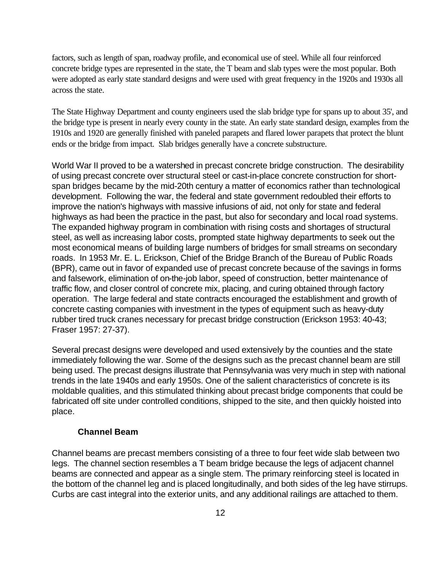factors, such as length of span, roadway profile, and economical use of steel. While all four reinforced concrete bridge types are represented in the state, the T beam and slab types were the most popular. Both were adopted as early state standard designs and were used with great frequency in the 1920s and 1930s all across the state.

The State Highway Department and county engineers used the slab bridge type for spans up to about 35', and the bridge type is present in nearly every county in the state. An early state standard design, examples from the 1910s and 1920 are generally finished with paneled parapets and flared lower parapets that protect the blunt ends or the bridge from impact. Slab bridges generally have a concrete substructure.

World War II proved to be a watershed in precast concrete bridge construction. The desirability of using precast concrete over structural steel or cast-in-place concrete construction for shortspan bridges became by the mid-20th century a matter of economics rather than technological development. Following the war, the federal and state government redoubled their efforts to improve the nation's highways with massive infusions of aid, not only for state and federal highways as had been the practice in the past, but also for secondary and local road systems. The expanded highway program in combination with rising costs and shortages of structural steel, as well as increasing labor costs, prompted state highway departments to seek out the most economical means of building large numbers of bridges for small streams on secondary roads. In 1953 Mr. E. L. Erickson, Chief of the Bridge Branch of the Bureau of Public Roads (BPR), came out in favor of expanded use of precast concrete because of the savings in forms and falsework, elimination of on-the-job labor, speed of construction, better maintenance of traffic flow, and closer control of concrete mix, placing, and curing obtained through factory operation. The large federal and state contracts encouraged the establishment and growth of concrete casting companies with investment in the types of equipment such as heavy-duty rubber tired truck cranes necessary for precast bridge construction (Erickson 1953: 40-43; Fraser 1957: 27-37).

Several precast designs were developed and used extensively by the counties and the state immediately following the war. Some of the designs such as the precast channel beam are still being used. The precast designs illustrate that Pennsylvania was very much in step with national trends in the late 1940s and early 1950s. One of the salient characteristics of concrete is its moldable qualities, and this stimulated thinking about precast bridge components that could be fabricated off site under controlled conditions, shipped to the site, and then quickly hoisted into place.

### **Channel Beam**

Channel beams are precast members consisting of a three to four feet wide slab between two legs. The channel section resembles a T beam bridge because the legs of adjacent channel beams are connected and appear as a single stem. The primary reinforcing steel is located in the bottom of the channel leg and is placed longitudinally, and both sides of the leg have stirrups. Curbs are cast integral into the exterior units, and any additional railings are attached to them.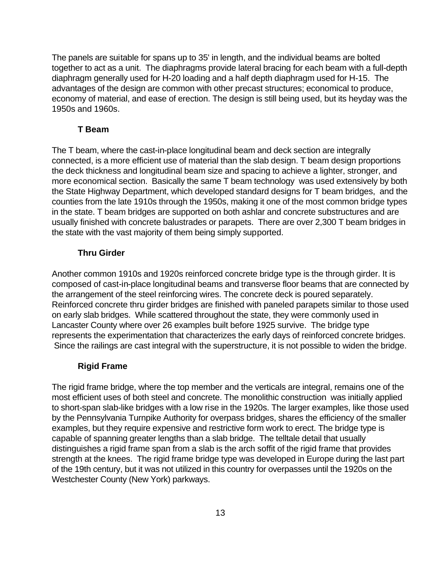The panels are suitable for spans up to 35' in length, and the individual beams are bolted together to act as a unit. The diaphragms provide lateral bracing for each beam with a full-depth diaphragm generally used for H-20 loading and a half depth diaphragm used for H-15. The advantages of the design are common with other precast structures; economical to produce, economy of material, and ease of erection. The design is still being used, but its heyday was the 1950s and 1960s.

## **T Beam**

The T beam, where the cast-in-place longitudinal beam and deck section are integrally connected, is a more efficient use of material than the slab design. T beam design proportions the deck thickness and longitudinal beam size and spacing to achieve a lighter, stronger, and more economical section. Basically the same T beam technology was used extensively by both the State Highway Department, which developed standard designs for T beam bridges, and the counties from the late 1910s through the 1950s, making it one of the most common bridge types in the state. T beam bridges are supported on both ashlar and concrete substructures and are usually finished with concrete balustrades or parapets. There are over 2,300 T beam bridges in the state with the vast majority of them being simply supported.

## **Thru Girder**

Another common 1910s and 1920s reinforced concrete bridge type is the through girder. It is composed of cast-in-place longitudinal beams and transverse floor beams that are connected by the arrangement of the steel reinforcing wires. The concrete deck is poured separately. Reinforced concrete thru girder bridges are finished with paneled parapets similar to those used on early slab bridges. While scattered throughout the state, they were commonly used in Lancaster County where over 26 examples built before 1925 survive. The bridge type represents the experimentation that characterizes the early days of reinforced concrete bridges. Since the railings are cast integral with the superstructure, it is not possible to widen the bridge.

## **Rigid Frame**

The rigid frame bridge, where the top member and the verticals are integral, remains one of the most efficient uses of both steel and concrete. The monolithic construction was initially applied to short-span slab-like bridges with a low rise in the 1920s. The larger examples, like those used by the Pennsylvania Turnpike Authority for overpass bridges, shares the efficiency of the smaller examples, but they require expensive and restrictive form work to erect. The bridge type is capable of spanning greater lengths than a slab bridge. The telltale detail that usually distinguishes a rigid frame span from a slab is the arch soffit of the rigid frame that provides strength at the knees. The rigid frame bridge type was developed in Europe during the last part of the 19th century, but it was not utilized in this country for overpasses until the 1920s on the Westchester County (New York) parkways.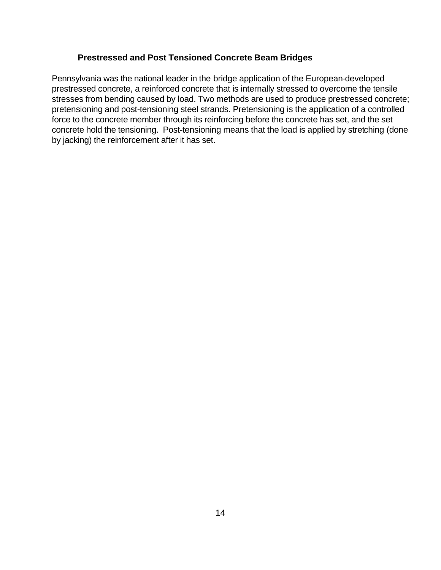## **Prestressed and Post Tensioned Concrete Beam Bridges**

Pennsylvania was the national leader in the bridge application of the European-developed prestressed concrete, a reinforced concrete that is internally stressed to overcome the tensile stresses from bending caused by load. Two methods are used to produce prestressed concrete; pretensioning and post-tensioning steel strands. Pretensioning is the application of a controlled force to the concrete member through its reinforcing before the concrete has set, and the set concrete hold the tensioning. Post-tensioning means that the load is applied by stretching (done by jacking) the reinforcement after it has set.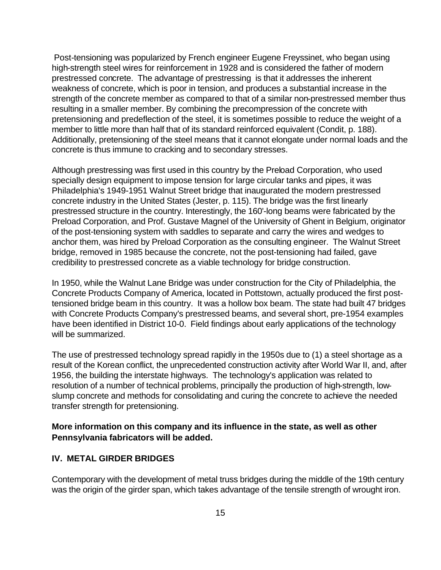Post-tensioning was popularized by French engineer Eugene Freyssinet, who began using high-strength steel wires for reinforcement in 1928 and is considered the father of modern prestressed concrete. The advantage of prestressing is that it addresses the inherent weakness of concrete, which is poor in tension, and produces a substantial increase in the strength of the concrete member as compared to that of a similar non-prestressed member thus resulting in a smaller member. By combining the precompression of the concrete with pretensioning and predeflection of the steel, it is sometimes possible to reduce the weight of a member to little more than half that of its standard reinforced equivalent (Condit, p. 188). Additionally, pretensioning of the steel means that it cannot elongate under normal loads and the concrete is thus immune to cracking and to secondary stresses.

Although prestressing was first used in this country by the Preload Corporation, who used specially design equipment to impose tension for large circular tanks and pipes, it was Philadelphia's 1949-1951 Walnut Street bridge that inaugurated the modern prestressed concrete industry in the United States (Jester, p. 115). The bridge was the first linearly prestressed structure in the country. Interestingly, the 160'-long beams were fabricated by the Preload Corporation, and Prof. Gustave Magnel of the University of Ghent in Belgium, originator of the post-tensioning system with saddles to separate and carry the wires and wedges to anchor them, was hired by Preload Corporation as the consulting engineer. The Walnut Street bridge, removed in 1985 because the concrete, not the post-tensioning had failed, gave credibility to prestressed concrete as a viable technology for bridge construction.

In 1950, while the Walnut Lane Bridge was under construction for the City of Philadelphia, the Concrete Products Company of America, located in Pottstown, actually produced the first posttensioned bridge beam in this country. It was a hollow box beam. The state had built 47 bridges with Concrete Products Company's prestressed beams, and several short, pre-1954 examples have been identified in District 10-0. Field findings about early applications of the technology will be summarized.

The use of prestressed technology spread rapidly in the 1950s due to (1) a steel shortage as a result of the Korean conflict, the unprecedented construction activity after World War II, and, after 1956, the building the interstate highways. The technology's application was related to resolution of a number of technical problems, principally the production of high-strength, lowslump concrete and methods for consolidating and curing the concrete to achieve the needed transfer strength for pretensioning.

## **More information on this company and its influence in the state, as well as other Pennsylvania fabricators will be added.**

# **IV. METAL GIRDER BRIDGES**

Contemporary with the development of metal truss bridges during the middle of the 19th century was the origin of the girder span, which takes advantage of the tensile strength of wrought iron.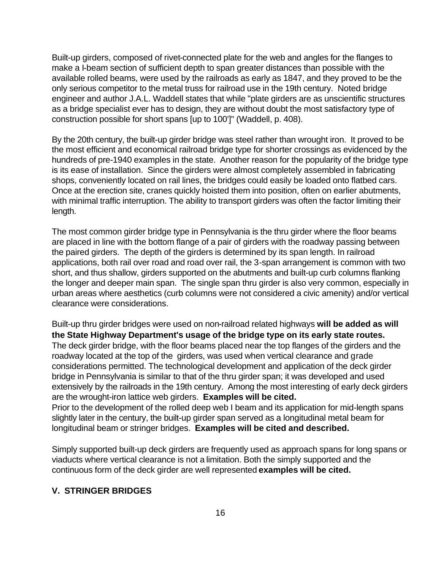Built-up girders, composed of rivet-connected plate for the web and angles for the flanges to make a I-beam section of sufficient depth to span greater distances than possible with the available rolled beams, were used by the railroads as early as 1847, and they proved to be the only serious competitor to the metal truss for railroad use in the 19th century. Noted bridge engineer and author J.A.L. Waddell states that while "plate girders are as unscientific structures as a bridge specialist ever has to design, they are without doubt the most satisfactory type of construction possible for short spans [up to 100']" (Waddell, p. 408).

By the 20th century, the built-up girder bridge was steel rather than wrought iron. It proved to be the most efficient and economical railroad bridge type for shorter crossings as evidenced by the hundreds of pre-1940 examples in the state. Another reason for the popularity of the bridge type is its ease of installation. Since the girders were almost completely assembled in fabricating shops, conveniently located on rail lines, the bridges could easily be loaded onto flatbed cars. Once at the erection site, cranes quickly hoisted them into position, often on earlier abutments, with minimal traffic interruption. The ability to transport girders was often the factor limiting their length.

The most common girder bridge type in Pennsylvania is the thru girder where the floor beams are placed in line with the bottom flange of a pair of girders with the roadway passing between the paired girders. The depth of the girders is determined by its span length. In railroad applications, both rail over road and road over rail, the 3-span arrangement is common with two short, and thus shallow, girders supported on the abutments and built-up curb columns flanking the longer and deeper main span. The single span thru girder is also very common, especially in urban areas where aesthetics (curb columns were not considered a civic amenity) and/or vertical clearance were considerations.

Built-up thru girder bridges were used on non-railroad related highways **will be added as will the State Highway Department's usage of the bridge type on its early state routes.**  The deck girder bridge, with the floor beams placed near the top flanges of the girders and the roadway located at the top of the girders, was used when vertical clearance and grade considerations permitted. The technological development and application of the deck girder bridge in Pennsylvania is similar to that of the thru girder span; it was developed and used extensively by the railroads in the 19th century. Among the most interesting of early deck girders are the wrought-iron lattice web girders. **Examples will be cited.** Prior to the development of the rolled deep web I beam and its application for mid-length spans

slightly later in the century, the built-up girder span served as a longitudinal metal beam for longitudinal beam or stringer bridges. **Examples will be cited and described.**

Simply supported built-up deck girders are frequently used as approach spans for long spans or viaducts where vertical clearance is not a limitation. Both the simply supported and the continuous form of the deck girder are well represented **examples will be cited.**

# **V. STRINGER BRIDGES**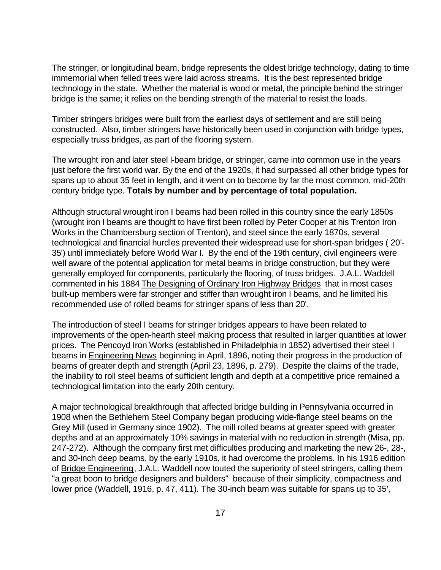The stringer, or longitudinal beam, bridge represents the oldest bridge technology, dating to time immemorial when felled trees were laid across streams. It is the best represented bridge technology in the state. Whether the material is wood or metal, the principle behind the stringer bridge is the same; it relies on the bending strength of the material to resist the loads.

Timber stringers bridges were built from the earliest days of settlement and are still being constructed. Also, timber stringers have historically been used in conjunction with bridge types, especially truss bridges, as part of the flooring system.

The wrought iron and later steel I-beam bridge, or stringer, came into common use in the years just before the first world war. By the end of the 1920s, it had surpassed all other bridge types for spans up to about 35 feet in length, and it went on to become by far the most common, mid-20th century bridge type. **Totals by number and by percentage of total population.**

Although structural wrought iron I beams had been rolled in this country since the early 1850s (wrought iron I beams are thought to have first been rolled by Peter Cooper at his Trenton Iron Works in the Chambersburg section of Trenton), and steel since the early 1870s, several technological and financial hurdles prevented their widespread use for short-span bridges ( 20'- 35') until immediately before World War I. By the end of the 19th century, civil engineers were well aware of the potential application for metal beams in bridge construction, but they were generally employed for components, particularly the flooring, of truss bridges. J.A.L. Waddell commented in his 1884 The Designing of Ordinary Iron Highway Bridges that in most cases built-up members were far stronger and stiffer than wrought iron I beams, and he limited his recommended use of rolled beams for stringer spans of less than 20'.

The introduction of steel I beams for stringer bridges appears to have been related to improvements of the open-hearth steel making process that resulted in larger quantities at lower prices. The Pencoyd Iron Works (established in Philadelphia in 1852) advertised their steel I beams in Engineering News beginning in April, 1896, noting their progress in the production of beams of greater depth and strength (April 23, 1896, p. 279). Despite the claims of the trade, the inability to roll steel beams of sufficient length and depth at a competitive price remained a technological limitation into the early 20th century.

A major technological breakthrough that affected bridge building in Pennsylvania occurred in 1908 when the Bethlehem Steel Company began producing wide-flange steel beams on the Grey Mill (used in Germany since 1902). The mill rolled beams at greater speed with greater depths and at an approximately 10% savings in material with no reduction in strength (Misa, pp. 247-272). Although the company first met difficulties producing and marketing the new 26-, 28-, and 30-inch deep beams, by the early 1910s, it had overcome the problems. In his 1916 edition of Bridge Engineering, J.A.L. Waddell now touted the superiority of steel stringers, calling them "a great boon to bridge designers and builders" because of their simplicity, compactness and lower price (Waddell, 1916, p. 47, 411). The 30-inch beam was suitable for spans up to 35',